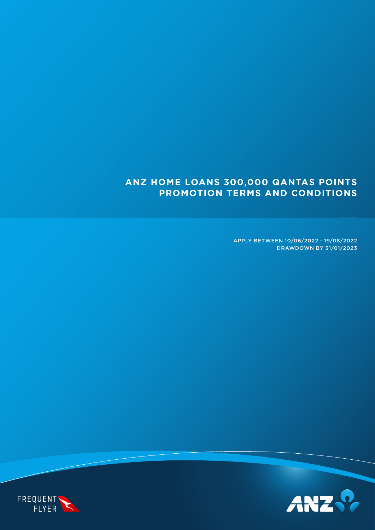# **ANZ HOME LOANS 300,000 QANTAS POINTS PROMOTION TERMS AND CONDITIONS**

APPLY BETWEEN 10/06/2022 - 19/08/2022 DRAWDOWN BY 31/01/2023



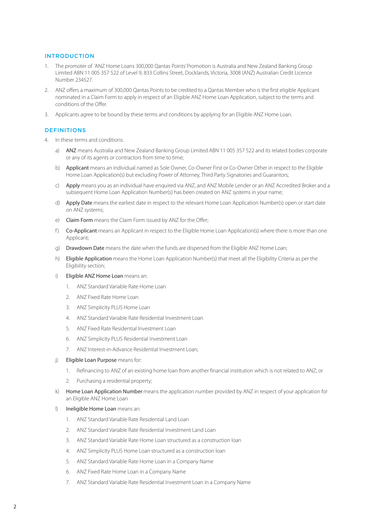### INTRODUCTION

- 1. The promoter of 'ANZ Home Loans 300,000 Qantas Points' Promotion is Australia and New Zealand Banking Group Limited ABN 11 005 357 522 of Level 9, 833 Collins Street, Docklands, Victoria, 3008 (ANZ) Australian Credit Licence Number 234527.
- 2. ANZ offers a maximum of 300,000 Qantas Points to be credited to a Qantas Member who is the first eligible Applicant nominated in a Claim Form to apply in respect of an Eligible ANZ Home Loan Application, subject to the terms and conditions of the Offer.
- 3. Applicants agree to be bound by these terms and conditions by applying for an Eligible ANZ Home Loan.

## **DEFINITIONS**

- 4. In these terms and conditions:
	- a) ANZ means Australia and New Zealand Banking Group Limited ABN 11 005 357 522 and its related bodies corporate or any of its agents or contractors from time to time;
	- b) Applicant means an individual named as Sole Owner, Co-Owner First or Co-Owner Other in respect to the Eligible Home Loan Application(s) but excluding Power of Attorney, Third Party Signatories and Guarantors;
	- c) Apply means you as an individual have enquired via ANZ, and ANZ Mobile Lender or an ANZ Accredited Broker and a subsequent Home Loan Application Number(s) has been created on ANZ systems in your name;
	- d) Apply Date means the earliest date in respect to the relevant Home Loan Application Number(s) open or start date on ANZ systems;
	- e) Claim Form means the Claim Form issued by ANZ for the Offer;
	- f) Co-Applicant means an Applicant in respect to the Eligible Home Loan Application(s) where there is more than one Applicant;
	- g) Drawdown Date means the date when the funds are dispersed from the Eligible ANZ Home Loan;
	- h) Eligible Application means the Home Loan Application Number(s) that meet all the Eligibility Criteria as per the Eligibility section;
	- i) Eligible ANZ Home Loan means an:
		- 1. ANZ Standard Variable Rate Home Loan
		- 2. ANZ Fixed Rate Home Loan
		- 3. ANZ Simplicity PLUS Home Loan
		- 4. ANZ Standard Variable Rate Residential Investment Loan
		- 5. ANZ Fixed Rate Residential Investment Loan
		- 6. ANZ Simplicity PLUS Residential Investment Loan
		- 7. ANZ Interest-in-Advance Residential Investment Loan;
	- j) Eligible Loan Purpose means for:
		- 1. Refinancing to ANZ of an existing home loan from another financial institution which is not related to ANZ; or
		- 2. Purchasing a residential property;
	- k) Home Loan Application Number means the application number provided by ANZ in respect of your application for an Eligible ANZ Home Loan
	- l) Ineligible Home Loan means an:
		- 1. ANZ Standard Variable Rate Residential Land Loan
		- 2. ANZ Standard Variable Rate Residential Investment Land Loan
		- 3. ANZ Standard Variable Rate Home Loan structured as a construction loan
		- 4. ANZ Simplicity PLUS Home Loan structured as a construction loan
		- 5. ANZ Standard Variable Rate Home Loan in a Company Name
		- 6. ANZ Fixed Rate Home Loan in a Company Name
		- 7. ANZ Standard Variable Rate Residential Investment Loan in a Company Name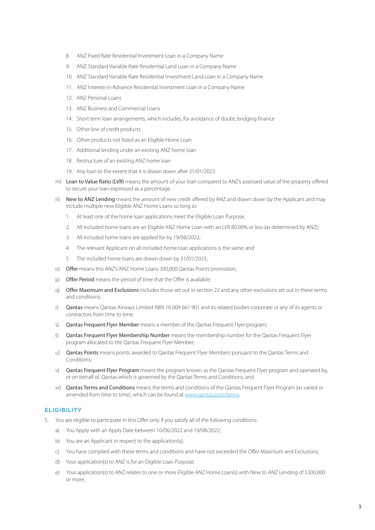- 8. ANZ Fixed Rate Residential Investment Loan in a Company Name
- 9. ANZ Standard Variable Rate Residential Land Loan in a Company Name
- 10. ANZ Standard Variable Rate Residential Investment Land Loan in a Company Name
- 11. ANZ Interest-in-Advance Residential Investment Loan in a Company Name
- 12 ANZ Personal Loans
- 13. ANZ Business and Commercial Loans
- 14. Short term loan arrangements, which includes, for avoidance of doubt, bridging finance
- 15. Other line of credit products
- 16. Other products not listed as an Eligible Home Loan
- 17. Additional lending under an existing ANZ home loan
- 18. Restructure of an existing ANZ home loan
- 19. Any loan to the extent that it is drawn down after 31/01/2023
- m) Loan to Value Ratio (LVR) means the amount of your loan compared to ANZ's assessed value of the property offered to secure your loan expressed as a percentage.
- n) New to ANZ Lending means the amount of new credit offered by ANZ and drawn down by the Applicant and may include multiple new Eligible ANZ Home Loans so long as:
	- 1. At least one of the home loan applications meet the Eligible Loan Purpose;
	- 2. All included home loans are an Eligible ANZ Home Loan with an LVR 80.00% or less (as determined by ANZ);
	- 3. All included home loans are applied for by 19/08/2022;
	- 4. The relevant Applicant on all included home loan applications is the same; and
	- 5. The included home loans are drawn down by 31/01/2023;
- o) Offer means this ANZ's 'ANZ Home Loans 300,000 Qantas Points' promotion;
- p) Offer Period means the period of time that the Offer is available;
- q) Offer Maximum and Exclusions includes those set out in section 22 and any other exclusions set out in these terms and conditions;
- r) Qantas means Qantas Airways Limited ABN 16 009 661 901 and its related bodies corporate or any of its agents or contractors from time to time;
- s) **Qantas Frequent Flyer Member** means a member of the Qantas Frequent Flyer program;
- t) Qantas Frequent Flyer Membership Number means the membership number for the Qantas Frequent Flyer program allocated to the Qantas Frequent Flyer Member;
- u) Qantas Points means points awarded to Qantas Frequent Flyer Members pursuant to the Qantas Terms and Conditions;
- v) Qantas Frequent Flyer Program means the program known as the Qantas Frequent Flyer program and operated by, or on behalf of, Qantas which is governed by the Qantas Terms and Conditions; and
- w) Qantas Terms and Conditions means the terms and conditions of the Qantas Frequent Flyer Program (as varied or amended from time to time), which can be found at [www.qantas.com/terms.](http://www.qantas.com/terms)

#### **ELIGIBILITY**

- 5. You are eligible to participate in this Offer only if you satisfy all of the following conditions:
	- a) You Apply with an Apply Date between 10/06/2022 and 19/08/2022;
	- b) You are an Applicant in respect to the application(s);
	- c) You have complied with these terms and conditions and have not exceeded the Offer Maximum and Exclusions;
	- d) Your application(s) to ANZ is for an Eligible Loan Purpose;
	- e) Your application(s) to ANZ relates to one or more Eligible ANZ Home Loan(s) with New to ANZ Lending of \$300,000 or more;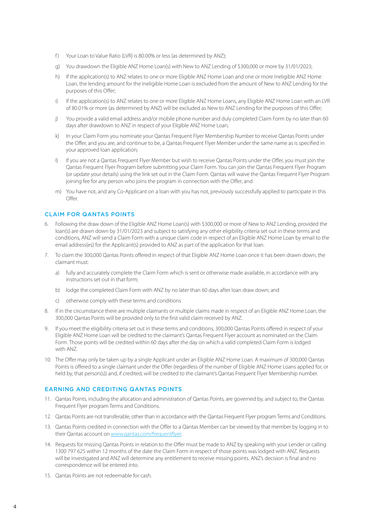- f) Your Loan to Value Ratio (LVR) is 80.00% or less (as determined by ANZ);
- g) You drawdown the Eligible ANZ Home Loan(s) with New to ANZ Lending of \$300,000 or more by 31/01/2023;
- h) If the application(s) to ANZ relates to one or more Eligible ANZ Home Loan and one or more Ineligible ANZ Home Loan, the lending amount for the Ineligible Home Loan is excluded from the amount of New to ANZ Lending for the purposes of this Offer;
- i) If the application(s) to ANZ relates to one or more Eligible ANZ Home Loans, any Eligible ANZ Home Loan with an LVR of 80.01% or more (as determined by ANZ) will be excluded as New to ANZ Lending for the purposes of this Offer;
- j) You provide a valid email address and/or mobile phone number and duly completed Claim Form by no later than 60 days after drawdown to ANZ in respect of your Eligible ANZ Home Loan;
- k) In your Claim Form you nominate your Qantas Frequent Flyer Membership Number to receive Qantas Points under the Offer, and you are, and continue to be, a Qantas Frequent Flyer Member under the same name as is specified in your approved loan application;
- l) If you are not a Qantas Frequent Flyer Member but wish to receive Qantas Points under the Offer, you must join the Qantas Frequent Flyer Program before submitting your Claim Form. You can join the Qantas Frequent Flyer Program (or update your details) using the link set out in the Claim Form. Qantas will waive the Qantas Frequent Flyer Program joining fee for any person who joins the program in connection with the Offer; and
- m) You have not, and any Co-Applicant on a loan with you has not, previously successfully applied to participate in this Offer.

#### CLAIM FOR QANTAS POINTS

- Following the draw down of the Eligible ANZ Home Loan(s) with \$300,000 or more of New to ANZ Lending, provided the loan(s) are drawn down by 31/01/2023 and subject to satisfying any other eligibility criteria set out in these terms and conditions, ANZ will send a Claim Form with a unique claim code in respect of an Eligible ANZ Home Loan by email to the email address(es) for the Applicant(s) provided to ANZ as part of the application for that loan.
- 7. To claim the 300,000 Qantas Points offered in respect of that Eligible ANZ Home Loan once it has been drawn down, the claimant must:
	- a) fully and accurately complete the Claim Form which is sent or otherwise made available, in accordance with any instructions set out in that form;
	- b) lodge the completed Claim Form with ANZ by no later than 60 days after loan draw down; and
	- c) otherwise comply with these terms and conditions
- 8. If in the circumstance there are multiple claimants or multiple claims made in respect of an Eligible ANZ Home Loan, the 300,000 Qantas Points will be provided only to the first valid claim received by ANZ.
- 9. If you meet the eligibility criteria set out in these terms and conditions, 300,000 Qantas Points offered in respect of your Eligible ANZ Home Loan will be credited to the claimant's Qantas Frequent Flyer account as nominated on the Claim Form. Those points will be credited within 60 days after the day on which a valid completed Claim Form is lodged with ANZ.
- 10. The Offer may only be taken up by a single Applicant under an Eligible ANZ Home Loan. A maximum of 300,000 Qantas Points is offered to a single claimant under the Offer (regardless of the number of Eligible ANZ Home Loans applied for, or held by, that person(s)) and, if credited, will be credited to the claimant's Qantas Frequent Flyer Membership number.

# EARNING AND CREDITING QANTAS POINTS

- 11. Qantas Points, including the allocation and administration of Qantas Points, are governed by, and subject to, the Qantas Frequent Flyer program Terms and Conditions.
- 12. Qantas Points are not transferable, other than in accordance with the Qantas Frequent Flyer program Terms and Conditions.
- 13. Qantas Points credited in connection with the Offer to a Qantas Member can be viewed by that member by logging in to their Qantas account on [www.qantas.com/frequentflyer.](http://www.qantas.com/frequentflyer)
- 14. Requests for missing Qantas Points in relation to the Offer must be made to ANZ by speaking with your Lender or calling 1300 797 625 within 12 months of the date the Claim Form in respect of those points was lodged with ANZ. Requests will be investigated and ANZ will determine any entitlement to receive missing points. ANZ's decision is final and no correspondence will be entered into.
- 15. Qantas Points are not redeemable for cash.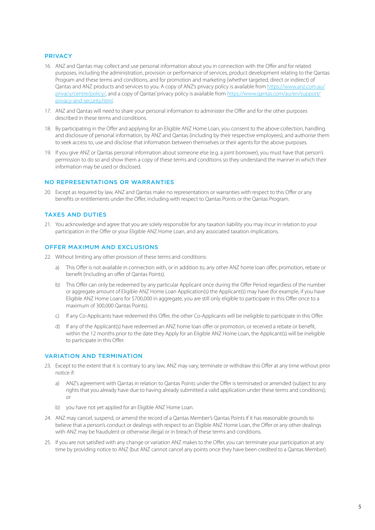#### PRIVACY

- 16. ANZ and Qantas may collect and use personal information about you in connection with the Offer and for related purposes, including the administration, provision or performance of services, product development relating to the Qantas Program and these terms and conditions, and for promotion and marketing (whether targeted, direct or indirect) of Qantas and ANZ products and services to you. A copy of ANZ's privacy policy is available from [https://www.anz.com.au/](https://www.anz.com.au/privacy/centre/policy/) [privacy/centre/policy/,](https://www.anz.com.au/privacy/centre/policy/) and a copy of Qantas' privacy policy is available from [https://www.qantas.com/au/en/support/](https://www.qantas.com/au/en/support/privacy-and-security.html) [privacy-and-security.html.](https://www.qantas.com/au/en/support/privacy-and-security.html)
- 17. ANZ and Qantas will need to share your personal information to administer the Offer and for the other purposes described in these terms and conditions.
- 18. By participating in the Offer and applying for an Eligible ANZ Home Loan, you consent to the above collection, handling and disclosure of personal information, by ANZ and Qantas (including by their respective employees), and authorise them to seek access to, use and disclose that information between themselves or their agents for the above purposes.
- 19. If you give ANZ or Qantas personal information about someone else (e.g. a joint borrower), you must have that person's permission to do so and show them a copy of these terms and conditions so they understand the manner in which their information may be used or disclosed.

# NO REPRESENTATIONS OR WARRANTIES

20. Except as required by law, ANZ and Qantas make no representations or warranties with respect to this Offer or any benefits or entitlements under the Offer, including with respect to Qantas Points or the Qantas Program.

# TAXES AND DUTIES

21. You acknowledge and agree that you are solely responsible for any taxation liability you may incur in relation to your participation in the Offer or your Eligible ANZ Home Loan, and any associated taxation implications.

# OFFER MAXIMUM AND EXCLUSIONS

- 22. Without limiting any other provision of these terms and conditions:
	- a) This Offer is not available in connection with, or in addition to, any other ANZ home loan offer, promotion, rebate or benefit (including an offer of Qantas Points).
	- b) This Offer can only be redeemed by any particular Applicant once during the Offer Period regardless of the number or aggregate amount of Eligible ANZ Home Loan Application(s) the Applicant(s) may have (for example, if you have Eligible ANZ Home Loans for \$700,000 in aggregate, you are still only eligible to participate in this Offer once to a maximum of 300,000 Qantas Points).
	- c) If any Co-Applicants have redeemed this Offer, the other Co-Applicants will be ineligible to participate in this Offer.
	- d) If any of the Applicant(s) have redeemed an ANZ home loan offer or promotion, or received a rebate or benefit, within the 12 months prior to the date they Apply for an Eligible ANZ Home Loan, the Applicant(s) will be ineligible to participate in this Offer.

# VARIATION AND TERMINATION

- 23. Except to the extent that it is contrary to any law, ANZ may vary, terminate or withdraw this Offer at any time without prior notice if:
	- a) ANZ's agreement with Qantas in relation to Qantas Points under the Offer is terminated or amended (subject to any rights that you already have due to having already submitted a valid application under these terms and conditions); or
	- b) you have not yet applied for an Eligible ANZ Home Loan.
- 24. ANZ may cancel, suspend, or amend the record of a Qantas Member's Qantas Points if it has reasonable grounds to believe that a person's conduct or dealings with respect to an Eligible ANZ Home Loan, the Offer or any other dealings with ANZ may be fraudulent or otherwise illegal or in breach of these terms and conditions.
- 25. If you are not satisfied with any change or variation ANZ makes to the Offer, you can terminate your participation at any time by providing notice to ANZ (but ANZ cannot cancel any points once they have been credited to a Qantas Member).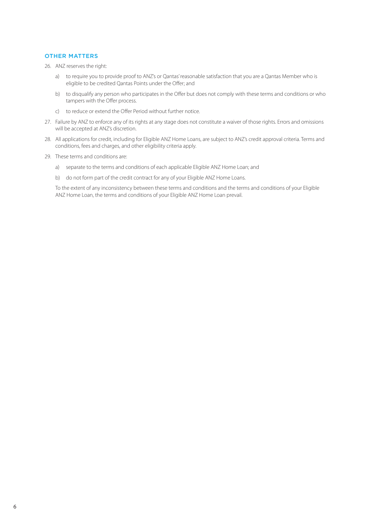#### OTHER MATTERS

26. ANZ reserves the right:

- a) to require you to provide proof to ANZ's or Qantas' reasonable satisfaction that you are a Qantas Member who is eligible to be credited Qantas Points under the Offer; and
- b) to disqualify any person who participates in the Offer but does not comply with these terms and conditions or who tampers with the Offer process.
- c) to reduce or extend the Offer Period without further notice.
- 27. Failure by ANZ to enforce any of its rights at any stage does not constitute a waiver of those rights. Errors and omissions will be accepted at ANZ's discretion.
- 28. All applications for credit, including for Eligible ANZ Home Loans, are subject to ANZ's credit approval criteria. Terms and conditions, fees and charges, and other eligibility criteria apply.
- 29. These terms and conditions are:
	- a) separate to the terms and conditions of each applicable Eligible ANZ Home Loan; and
	- b) do not form part of the credit contract for any of your Eligible ANZ Home Loans.

 To the extent of any inconsistency between these terms and conditions and the terms and conditions of your Eligible ANZ Home Loan, the terms and conditions of your Eligible ANZ Home Loan prevail.